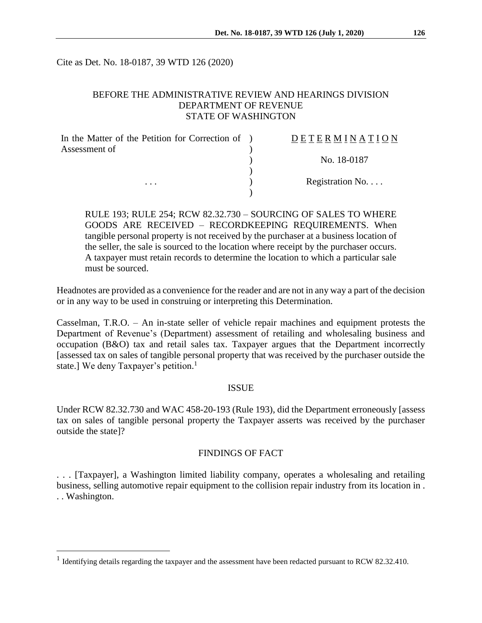Cite as Det. No. 18-0187, 39 WTD 126 (2020)

# BEFORE THE ADMINISTRATIVE REVIEW AND HEARINGS DIVISION DEPARTMENT OF REVENUE STATE OF WASHINGTON

| In the Matter of the Petition for Correction of ) | DETERMINATION   |
|---------------------------------------------------|-----------------|
| Assessment of                                     | No. 18-0187     |
|                                                   |                 |
| .                                                 | Registration No |

RULE 193; RULE 254; RCW 82.32.730 – SOURCING OF SALES TO WHERE GOODS ARE RECEIVED – RECORDKEEPING REQUIREMENTS. When tangible personal property is not received by the purchaser at a business location of the seller, the sale is sourced to the location where receipt by the purchaser occurs. A taxpayer must retain records to determine the location to which a particular sale must be sourced.

Headnotes are provided as a convenience for the reader and are not in any way a part of the decision or in any way to be used in construing or interpreting this Determination.

Casselman, T.R.O. – An in-state seller of vehicle repair machines and equipment protests the Department of Revenue's (Department) assessment of retailing and wholesaling business and occupation (B&O) tax and retail sales tax. Taxpayer argues that the Department incorrectly [assessed tax on sales of tangible personal property that was received by the purchaser outside the state.] We deny Taxpayer's petition.<sup>1</sup>

#### ISSUE

Under RCW 82.32.730 and WAC 458-20-193 (Rule 193), did the Department erroneously [assess tax on sales of tangible personal property the Taxpayer asserts was received by the purchaser outside the state]?

# FINDINGS OF FACT

. . . [Taxpayer], a Washington limited liability company, operates a wholesaling and retailing business, selling automotive repair equipment to the collision repair industry from its location in . . . Washington.

 $\overline{a}$ 

<sup>&</sup>lt;sup>1</sup> Identifying details regarding the taxpayer and the assessment have been redacted pursuant to RCW 82.32.410.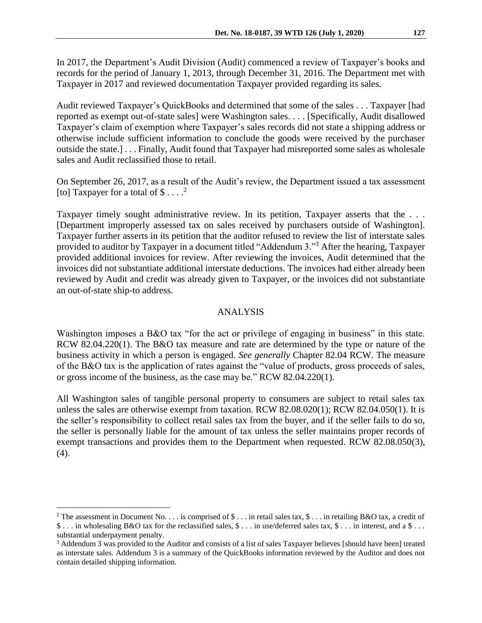In 2017, the Department's Audit Division (Audit) commenced a review of Taxpayer's books and records for the period of January 1, 2013, through December 31, 2016. The Department met with Taxpayer in 2017 and reviewed documentation Taxpayer provided regarding its sales.

Audit reviewed Taxpayer's QuickBooks and determined that some of the sales . . . Taxpayer [had reported as exempt out-of-state sales] were Washington sales. . . . [Specifically, Audit disallowed Taxpayer's claim of exemption where Taxpayer's sales records did not state a shipping address or otherwise include sufficient information to conclude the goods were received by the purchaser outside the state.] . . . Finally, Audit found that Taxpayer had misreported some sales as wholesale sales and Audit reclassified those to retail.

On September 26, 2017, as a result of the Audit's review, the Department issued a tax assessment [to] Taxpayer for a total of  $$...$ <sup>2</sup>

Taxpayer timely sought administrative review. In its petition, Taxpayer asserts that the ... [Department improperly assessed tax on sales received by purchasers outside of Washington]. Taxpayer further asserts in its petition that the auditor refused to review the list of interstate sales provided to auditor by Taxpayer in a document titled "Addendum 3."<sup>3</sup> After the hearing, Taxpayer provided additional invoices for review. After reviewing the invoices, Audit determined that the invoices did not substantiate additional interstate deductions. The invoices had either already been reviewed by Audit and credit was already given to Taxpayer, or the invoices did not substantiate an out-of-state ship-to address.

#### ANALYSIS

Washington imposes a B&O tax "for the act or privilege of engaging in business" in this state. RCW 82.04.220(1). The B&O tax measure and rate are determined by the type or nature of the business activity in which a person is engaged. *See generally* Chapter 82.04 RCW. The measure of the B&O tax is the application of rates against the "value of products, gross proceeds of sales, or gross income of the business, as the case may be." RCW 82.04.220(1).

All Washington sales of tangible personal property to consumers are subject to retail sales tax unless the sales are otherwise exempt from taxation. RCW 82.08.020(1); RCW 82.04.050(1). It is the seller's responsibility to collect retail sales tax from the buyer, and if the seller fails to do so, the seller is personally liable for the amount of tax unless the seller maintains proper records of exempt transactions and provides them to the Department when requested. RCW 82.08.050(3), (4).

 $\overline{a}$ 

<sup>&</sup>lt;sup>2</sup> The assessment in Document No. . . . is comprised of  $\$\ldots$  in retail sales tax,  $\$\ldots$  in retailing B&O tax, a credit of \$ . . . in wholesaling B&O tax for the reclassified sales, \$ . . . in use/deferred sales tax, \$ . . . in interest, and a \$ . . . substantial underpayment penalty.

<sup>3</sup> Addendum 3 was provided to the Auditor and consists of a list of sales Taxpayer believes [should have been] treated as interstate sales. Addendum 3 is a summary of the QuickBooks information reviewed by the Auditor and does not contain detailed shipping information.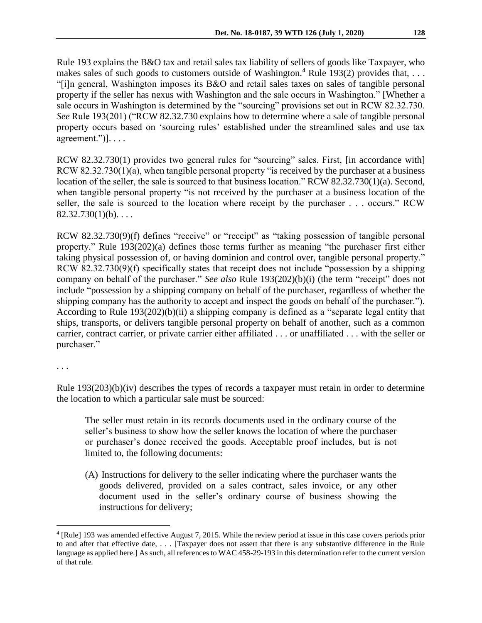Rule 193 explains the B&O tax and retail sales tax liability of sellers of goods like Taxpayer, who makes sales of such goods to customers outside of Washington.<sup>4</sup> Rule 193(2) provides that, ... "[i]n general, Washington imposes its B&O and retail sales taxes on sales of tangible personal property if the seller has nexus with Washington and the sale occurs in Washington." [Whether a sale occurs in Washington is determined by the "sourcing" provisions set out in RCW 82.32.730. *See* Rule 193(201) ("RCW 82.32.730 explains how to determine where a sale of tangible personal property occurs based on 'sourcing rules' established under the streamlined sales and use tax agreement.")]. . . . .

RCW 82.32.730(1) provides two general rules for "sourcing" sales. First, [in accordance with] RCW 82.32.730(1)(a), when tangible personal property "is received by the purchaser at a business location of the seller, the sale is sourced to that business location." RCW 82.32.730(1)(a). Second, when tangible personal property "is not received by the purchaser at a business location of the seller, the sale is sourced to the location where receipt by the purchaser . . . occurs." RCW  $82.32.730(1)(b)$ ....

RCW 82.32.730(9)(f) defines "receive" or "receipt" as "taking possession of tangible personal property." Rule 193(202)(a) defines those terms further as meaning "the purchaser first either taking physical possession of, or having dominion and control over, tangible personal property." RCW 82.32.730(9)(f) specifically states that receipt does not include "possession by a shipping company on behalf of the purchaser." *See also* Rule 193(202)(b)(i) (the term "receipt" does not include "possession by a shipping company on behalf of the purchaser, regardless of whether the shipping company has the authority to accept and inspect the goods on behalf of the purchaser."). According to Rule 193(202)(b)(ii) a shipping company is defined as a "separate legal entity that ships, transports, or delivers tangible personal property on behalf of another, such as a common carrier, contract carrier, or private carrier either affiliated . . . or unaffiliated . . . with the seller or purchaser."

. . .

 $\overline{a}$ 

Rule 193(203)(b)(iv) describes the types of records a taxpayer must retain in order to determine the location to which a particular sale must be sourced:

The seller must retain in its records documents used in the ordinary course of the seller's business to show how the seller knows the location of where the purchaser or purchaser's donee received the goods. Acceptable proof includes, but is not limited to, the following documents:

(A) Instructions for delivery to the seller indicating where the purchaser wants the goods delivered, provided on a sales contract, sales invoice, or any other document used in the seller's ordinary course of business showing the instructions for delivery;

<sup>4</sup> [Rule] 193 was amended effective August 7, 2015. While the review period at issue in this case covers periods prior to and after that effective date, . . . [Taxpayer does not assert that there is any substantive difference in the Rule language as applied here.] As such, all references to WAC 458-29-193 in this determination refer to the current version of that rule.